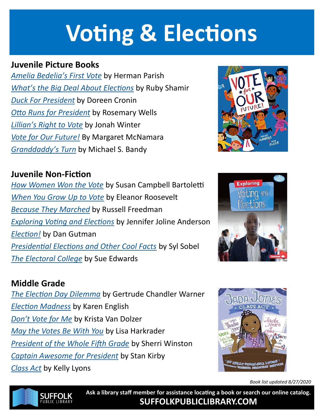# **Voting & Elections**

### **Juvenile Picture Books**

*[Amelia Bedelia's First Vote](https://suffolk.polarislibrary.com/polaris/search/searchresults.aspx?ctx=8.1033.0.0.1&type=Keyword&term=amelia%20bedelias%20first%20vote&by=KW&sort=RELEVANCE&limit=TOM=*&query=&page=0&searchid=3)* by Herman Parish *[What's the Big Deal About Elections](https://suffolk.polarislibrary.com/polaris/search/searchresults.aspx?ctx=8.1033.0.0.1&type=Keyword&term=What%e2%80%99s%20the%20Big%20Deal%20About%20Elections&by=KW&sort=RELEVANCE&limit=Tom=*&query=&page=0&searchid=4)* by Ruby Shamir *[Duck For President](https://suffolk.polarislibrary.com/polaris/search/searchresults.aspx?ctx=8.1033.0.0.1&type=Keyword&term=Duck%20For%20President&by=KW&sort=RELEVANCE&limit=Tom=*&query=&page=0&searchid=5)* by Doreen Cronin *[Otto Runs for President](https://www.hoopladigital.com/title/10740176)* by Rosemary Wells *[Lillian's Right to Vote](https://suffolk.polarislibrary.com/polaris/search/searchresults.aspx?ctx=8.1033.0.0.1&type=Keyword&term=Lillian%e2%80%99s%20Right%20to%20Vote&by=KW&sort=RELEVANCE&limit=Tom=*&query=&page=0&searchid=7)* by Jonah Winter *[Vote for Our Future!](https://suffolk.polarislibrary.com/polaris/search/searchresults.aspx?ctx=8.1033.0.0.1&type=Keyword&term=Vote%20for%20Our%20Future!&by=KW&sort=RELEVANCE&limit=Tom=*&query=&page=0&searchid=8)* By Margaret McNamara *[Granddaddy's Turn](https://suffolk.polarislibrary.com/polaris/search/searchresults.aspx?ctx=8.1033.0.0.1&type=Keyword&term=Granddaddy%e2%80%99s%20Turn&by=KW&sort=RELEVANCE&limit=Tom=*&query=&page=0&searchid=9)* by Michael S. Bandy

### **Juvenile Non-Fiction**

*[How Women Won the Vote](https://suffolk.polarislibrary.com/polaris/search/searchresults.aspx?ctx=8.1033.0.0.1&type=Keyword&term=How%20Women%20Won%20the%20Vote&by=KW&sort=RELEVANCE&limit=Tom=*&query=&page=0&searchid=10)* by Susan Campbell Bartoletti *[When You Grow Up to Vote](https://suffolk.polarislibrary.com/polaris/search/searchresults.aspx?ctx=8.1033.0.0.1&type=Keyword&term=When%20You%20Grow%20Up%20to%20Vote&by=KW&sort=RELEVANCE&limit=Tom=*&query=&page=0&searchid=11)* by Eleanor Roosevelt *[Because They Marched](https://suffolk.polarislibrary.com/polaris/search/searchresults.aspx?ctx=8.1033.0.0.1&type=Keyword&term=Because%20They%20Marched&by=KW&sort=RELEVANCE&limit=Tom=*&query=&page=0&searchid=12)* by Russell Freedman *[Exploring Voting and Elections](https://www.hoopladigital.com/title/12416376)* by Jennifer Joline Anderson *[Election!](https://www.hoopladigital.com/title/11561562)* by Dan Gutman *[Presidential Elections and Other Cool Facts](https://www.hoopladigital.com/title/12702475)* by Syl Sobel *[The Electoral College](https://www.hoopladigital.com/title/12578244)* by Sue Edwards

### **Middle Grade**

*[The Election Day Dilemma](https://suffolk.polarislibrary.com/polaris/search/searchresults.aspx?ctx=8.1033.0.0.1&type=Keyword&term=The%20Election%20Day%20Dilemma&by=KW&sort=RELEVANCE&limit=Tom=*&query=&page=0&searchid=17)* by Gertrude Chandler Warner *[Election Madness](https://suffolk.polarislibrary.com/polaris/search/searchresults.aspx?ctx=8.1033.0.0.1&type=Keyword&term=Election%20Madness&by=KW&sort=RELEVANCE&limit=Tom=*&query=&page=0&searchid=18)* by Karen English *[Don't Vote for Me](https://www.hoopladigital.com/title/11432024)* by Krista Van Dolzer *[May the Votes Be With You](https://www.hoopladigital.com/title/11791925)* by Lisa Harkrader *[President of the Whole Fifth Grade](https://suffolk.polarislibrary.com/polaris/search/searchresults.aspx?ctx=8.1033.0.0.1&type=Keyword&term=President%20of%20the%20Whole%20Fifth%20Grade&by=KW&sort=RELEVANCE&limit=Tom=*&query=&page=0&searchid=21)* by Sherri Winston *[Captain Awesome for President](https://suffolk.polarislibrary.com/polaris/search/searchresults.aspx?ctx=8.1033.0.0.1&type=Keyword&term=Captain%20Awesome%20for%20President&by=KW&sort=RELEVANCE&limit=Tom=*&query=&page=0&searchid=22)* by Stan Kirby *[Class Act](https://suffolk.polarislibrary.com/polaris/search/searchresults.aspx?ctx=8.1033.0.0.1&type=Keyword&term=class%20act%20lyons&by=KW&sort=RELEVANCE&limit=Tom=*&query=&page=0&searchid=23)* by Kelly Lyons







*Book list updated 8/27/2020*



**Ask a library staff member for assistance locating a book or search our online catalog. SUFFOLKPUBLICLIBRARY.COM**